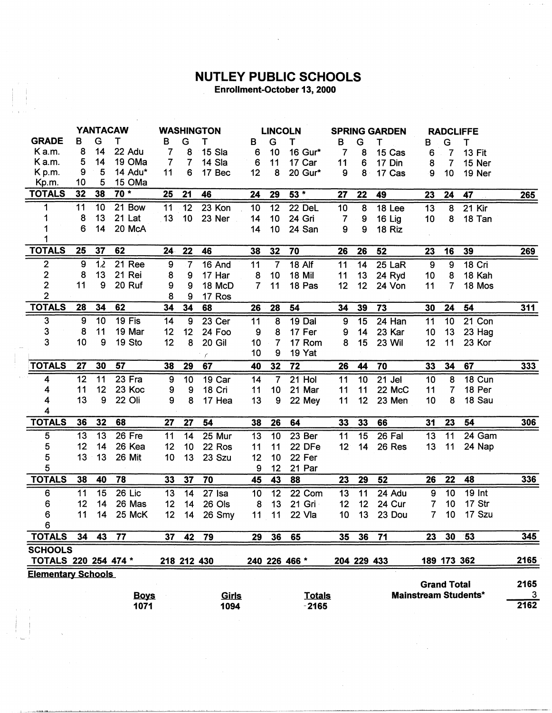## **NUTLEY PUBLIC SCHOOLS**<br>Enrollment-October 13, 2000

|                           | <b>YANTACAW</b> |    |             | <b>WASHINGTON</b> |                  |              | <b>LINCOLN</b>  |                         |                   | <b>SPRING GARDEN</b> |                 |          | <b>RADCLIFFE</b> |                    |                             |             |
|---------------------------|-----------------|----|-------------|-------------------|------------------|--------------|-----------------|-------------------------|-------------------|----------------------|-----------------|----------|------------------|--------------------|-----------------------------|-------------|
| <b>GRADE</b>              | в               | G  | т           | в                 | G                | т            | B               | G                       | Τ                 | B                    | G               | т        | в                | G                  | т                           |             |
| Ka.m.                     | 8               | 14 | 22 Adu      | 7                 | 8                | 15 Sla       | 6               | 10                      | 16 Gur*           | $\overline{7}$       | 8               | 15 Cas   | 6                | 7                  | <b>13 Fit</b>               |             |
| K a.m.                    | 5               | 14 | 19 OMa      | $\overline{7}$    | 7                | 14 Sla       | $6\phantom{1}6$ | 11                      | 17 Car            | 11                   | 6               | 17 Din   | 8                | $\overline{7}$     | 15 Ner                      |             |
| K p.m.                    | 9               | 5  | 14 Adu*     | 11                | 6                | 17 Bec       | 12              | 8                       | 20 Gur*           | 9                    | $8 -$           | 17 Cas   | 9                | 10                 | 19 Ner                      |             |
| Kp.m.                     | 10              | 5  | 15 OMa      |                   |                  |              |                 |                         |                   |                      |                 |          |                  |                    |                             |             |
| <b>TOTALS</b>             | 32              | 38 | $70*$       | 25                | 21               | 46           | 24              | 29                      | 53 *              | 27                   | 22              | 49       | 23               | 24                 | 47                          | <u>265 </u> |
| 1                         | 11              | 10 | 21 Bow      | 11                | 12               | 23 Kon       | 10              | 12                      | 22 DeL            | 10                   | 8               | 18 Lee   | 13               | 8                  | 21 Kir                      |             |
| 1                         | 8               | 13 | 21 Lat      | 13                | 10               | 23 Ner       | 14              | 10                      | 24 Gri            | $\overline{7}$       | 9               | 16 Lig   | 10               | 8                  | 18 Tan                      |             |
| 1                         | 6               | 14 | 20 McA      |                   |                  |              | 14              | 10 <sub>1</sub>         | 24 San            | 9                    | 9               | 18 Riz   |                  |                    |                             |             |
| 1                         |                 |    |             |                   |                  |              |                 |                         |                   |                      |                 |          |                  |                    |                             |             |
| <b>TOTALS</b>             | 25              | 37 | 62          | 24 <sub>1</sub>   | 22               | 46           | 38              | 32                      | 70                | 26                   | 26              | 52       | 23               | 16                 | 39                          | 269         |
| $\mathbf{2}$              | 9               | 12 | 21 Ree      | 9                 | 7                | 16 And       | 11              | $\overline{7}$          | $18$ Alf          | 11                   | 14              | 25 LaR   | $\overline{9}$   | $\overline{9}$     | $18$ Cri                    |             |
| $\overline{\mathbf{c}}$   | 8               | 13 | 21 Rei      | 8                 | 9                | 17 Har       | 8               | 10 <sub>1</sub>         | 18 Mil            | 11                   | 13              | 24 Ryd   | 10               | 8                  | 18 Kah                      |             |
| $\overline{2}$            | 11              | 9  | 20 Ruf      | 9                 | 9                | 18 McD       | $\overline{7}$  | 11                      | 18 Pas            | 12                   | 12              | 24 Von   | 11               | 7                  | 18 Mos                      |             |
| $\overline{2}$            |                 |    |             | 8                 | 9                | 17 Ros       |                 |                         |                   |                      |                 |          |                  |                    |                             |             |
| <b>TOTALS</b>             | 28              | 34 | 62          | 34                | 34               | 68           | 26              | 28                      | 54                | 34                   | 39              | 73       | 30               | 24                 | 54                          | <u>311</u>  |
| 3                         | 9               | 10 | 19 Fis      | 14                | $\boldsymbol{9}$ | 23 Cer       | 11              | $\overline{\mathbf{8}}$ | 19 Dal            | 9                    | 15              | 24 Han   | 11               | 10                 | 21 Con                      |             |
| 3                         | 8               | 11 | 19 Mar      | 12                | 12               | 24 Foo       | 9               | 8                       | 17 Fer            | 9                    | 14              | 23 Kar   | 10               | 13                 | 23 Hag                      |             |
| 3                         | 10              | 9  | 19 Sto      | 12                | 8                | 20 Gil       | 10              | $\overline{7}$          | 17 Rom            | 8                    | 15              | 23 Wil   | 12               | 11                 | 23 Kor                      |             |
|                           |                 |    |             |                   |                  | $\epsilon$   | 10              | 9                       | 19 Yat            |                      |                 |          |                  |                    |                             |             |
| <b>TOTALS</b>             | 27              | 30 | 57          | 38                | 29               | 67           | 40              | 32                      | $\overline{72}$   | 26                   | 44              | 70       | 33               | 34                 | 67                          | 333         |
| 4                         | 12              | 11 | 23 Fra      | 9                 | 10               | 19 Car       | 14              | $\overline{7}$          | 21 Hol            | 11                   | 10              | 21 Jel   | 10               | 8                  | 18 Cun                      |             |
| 4                         | 11              | 12 | 23 Koc      | 9                 | 9                | 18 Cri       | 11              | 10                      | 21 Mar            | 11                   | 11              | 22 McC   | 11               | 7                  | 18 Per                      |             |
| 4                         | 13              | 9  | 22 Oli      | 9                 | 8                | 17 Hea       | 13              | 9                       | 22 Mey            | 11                   | 12              | 23 Men   | 10               | 8                  | 18 Sau                      |             |
| 4                         |                 |    |             |                   |                  |              |                 |                         |                   |                      |                 |          |                  |                    |                             |             |
| <b>TOTALS</b>             | 36              | 32 | 68          | 27                | 27               | 54           | 38              | 26                      | 64                | 33                   | 33              | 66       | 31               | 23                 | 54                          | 306         |
| $\overline{5}$            | 13              | 13 | 26 Fre      | 11                | 14               | 25 Mur       | 13              | 10                      | 23 <sub>ber</sub> | 11                   | $\overline{15}$ | $26$ Fal | 13               | $\overline{11}$    | 24 Gam                      |             |
| 5                         | 12              | 14 | 26 Kea      | 12                | 10 <sub>o</sub>  | 22 Ros       | 11              | 11                      | 22 DFe            | 12 <sup>1</sup>      | 14              | 26 Res   | 13               | 11                 | 24 Nap                      |             |
| 5                         | 13              | 13 | 26 Mit      | 10                | 13               | 23 Szu       | 12              | 10                      | 22 Fer            |                      |                 |          |                  |                    |                             |             |
| 5                         |                 |    |             |                   |                  |              | 9               | 12                      | 21 Par            |                      |                 |          |                  |                    |                             |             |
| <b>TOTALS</b>             | 38              | 40 | 78          | 33                | 37               | 70           | 45              | 43                      | 88                | 23                   | 29              | 52       | 26               | 22                 | 48                          | 336         |
| 6                         | 11              | 15 | 26 Lic      | 13                | 14               | 27 Isa       | 10              | 12                      | 22 Com            | 13                   | 11              | 24 Adu   | 9                | 10                 | <b>19 Int</b>               |             |
| 6                         | 12              | 14 | 26 Mas      | 12                | 14               | 26 Ols       | 8               | 13                      | 21 Gri            | 12                   | 12              | 24 Cur   | 7                | 10                 | 17 Str                      |             |
| 6                         | 11              | 14 | 25 McK      | 12                | 14               | 26 Smy       | 11              | 11                      | 22 Vla            | 10                   | 13              | 23 Dou   | 7                | 10                 | 17 Szu                      |             |
| 6                         |                 |    |             |                   |                  |              |                 |                         |                   |                      |                 |          |                  |                    |                             |             |
| <b>TOTALS</b>             | 34              | 43 | 77          | 37                | 42               | 79           | 29              | 36                      | 65                | 35                   | 36              | 71       | 23               | 30 <sub>2</sub>    | $-53$                       | 345         |
| <b>SCHOOLS</b>            |                 |    |             |                   |                  |              |                 |                         |                   |                      |                 |          |                  |                    |                             |             |
| TOTALS 220 254 474 *      |                 |    |             |                   | 218 212 430      |              |                 |                         | 240 226 466 *     |                      | 204 229 433     |          |                  |                    | 189 173 362                 | 2165        |
| <b>Elementary Schools</b> |                 |    |             |                   |                  |              |                 |                         |                   |                      |                 |          |                  |                    |                             |             |
|                           |                 |    |             |                   |                  |              |                 |                         |                   |                      |                 |          |                  | <b>Grand Total</b> |                             | 2165        |
|                           |                 |    | <b>Boys</b> |                   |                  | <u>Girls</u> |                 |                         | <b>Totals</b>     |                      |                 |          |                  |                    | <b>Mainstream Students*</b> | 3           |
|                           |                 |    | 1071        |                   |                  | 1094         |                 |                         | $-2165$           |                      |                 |          |                  |                    |                             | 2162        |